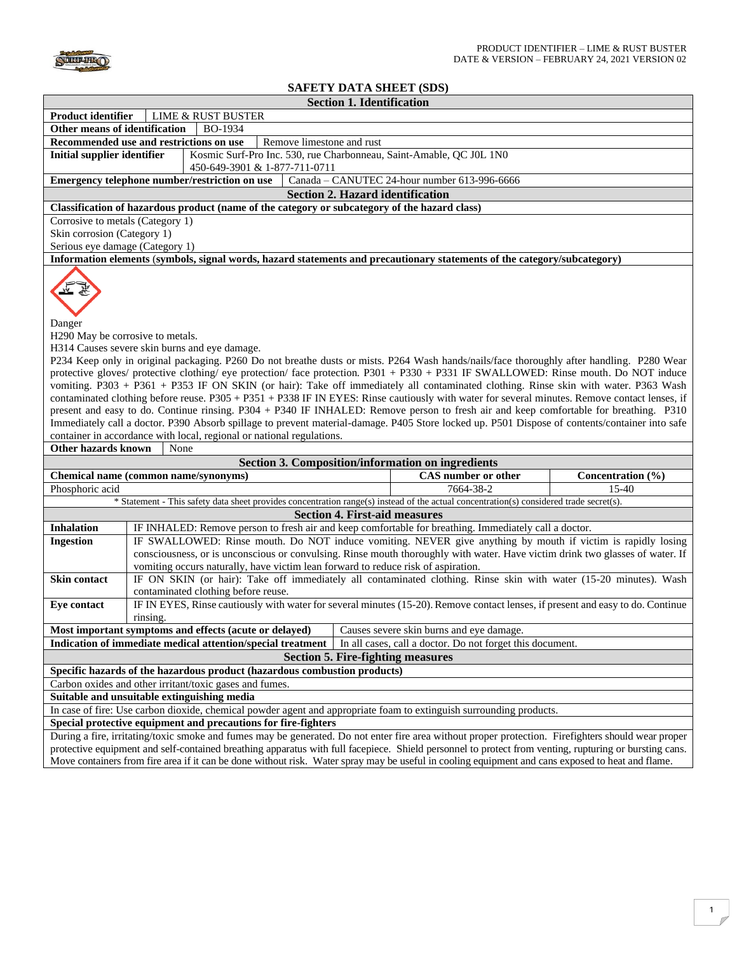

# **SAFETY DATA SHEET (SDS)**

| <b>Section 1. Identification</b>                                                                                         |  |  |  |  |
|--------------------------------------------------------------------------------------------------------------------------|--|--|--|--|
| <b>Product identifier</b><br>LIME & RUST BUSTER                                                                          |  |  |  |  |
| Other means of identification<br>BO-1934                                                                                 |  |  |  |  |
| Recommended use and restrictions on use<br>Remove limestone and rust                                                     |  |  |  |  |
| Kosmic Surf-Pro Inc. 530, rue Charbonneau, Saint-Amable, OC J0L 1N0<br>Initial supplier identifier                       |  |  |  |  |
| 450-649-3901 & 1-877-711-0711                                                                                            |  |  |  |  |
| Emergency telephone number/restriction on use<br>Canada – CANUTEC 24-hour number 613-996-6666                            |  |  |  |  |
| <b>Section 2. Hazard identification</b>                                                                                  |  |  |  |  |
| Classification of hazardous product (name of the category or subcategory of the hazard class)                            |  |  |  |  |
| Corrosive to metals (Category 1)                                                                                         |  |  |  |  |
| Skin corrosion (Category 1)                                                                                              |  |  |  |  |
| Serious eye damage (Category 1)                                                                                          |  |  |  |  |
| Information elements (symbols, signal words, hazard statements and precautionary statements of the category/subcategory) |  |  |  |  |
|                                                                                                                          |  |  |  |  |

Danger

H290 May be corrosive to metals.

H314 Causes severe skin burns and eye damage.

P234 Keep only in original packaging. P260 Do not breathe dusts or mists. P264 Wash hands/nails/face thoroughly after handling. P280 Wear protective gloves/ protective clothing/ eye protection/ face protection. P301 + P330 + P331 IF SWALLOWED: Rinse mouth. Do NOT induce vomiting. P303 + P361 + P353 IF ON SKIN (or hair): Take off immediately all contaminated clothing. Rinse skin with water. P363 Wash contaminated clothing before reuse. P305 + P351 + P338 IF IN EYES: Rinse cautiously with water for several minutes. Remove contact lenses, if present and easy to do. Continue rinsing. P304 + P340 IF INHALED: Remove person to fresh air and keep comfortable for breathing. P310 Immediately call a doctor. P390 Absorb spillage to prevent material-damage. P405 Store locked up. P501 Dispose of contents/container into safe container in accordance with local, regional or national regulations.

**Other hazards known** None

| Section 3. Composition/information on ingredients                                                                                                      |                                                                                                                                                   |  |                                                           |                       |  |
|--------------------------------------------------------------------------------------------------------------------------------------------------------|---------------------------------------------------------------------------------------------------------------------------------------------------|--|-----------------------------------------------------------|-----------------------|--|
| Chemical name (common name/synonyms)                                                                                                                   |                                                                                                                                                   |  | CAS number or other                                       | Concentration $(\% )$ |  |
| Phosphoric acid                                                                                                                                        |                                                                                                                                                   |  | 7664-38-2                                                 | $15-40$               |  |
|                                                                                                                                                        | * Statement - This safety data sheet provides concentration range(s) instead of the actual concentration(s) considered trade secret(s).           |  |                                                           |                       |  |
| <b>Section 4. First-aid measures</b>                                                                                                                   |                                                                                                                                                   |  |                                                           |                       |  |
| <b>Inhalation</b>                                                                                                                                      | IF INHALED: Remove person to fresh air and keep comfortable for breathing. Immediately call a doctor.                                             |  |                                                           |                       |  |
| <b>Ingestion</b>                                                                                                                                       | IF SWALLOWED: Rinse mouth. Do NOT induce vomiting. NEVER give anything by mouth if victim is rapidly losing                                       |  |                                                           |                       |  |
|                                                                                                                                                        | consciousness, or is unconscious or convulsing. Rinse mouth thoroughly with water. Have victim drink two glasses of water. If                     |  |                                                           |                       |  |
|                                                                                                                                                        | vomiting occurs naturally, have victim lean forward to reduce risk of aspiration.                                                                 |  |                                                           |                       |  |
| <b>Skin contact</b>                                                                                                                                    | IF ON SKIN (or hair): Take off immediately all contaminated clothing. Rinse skin with water (15-20 minutes). Wash                                 |  |                                                           |                       |  |
|                                                                                                                                                        | contaminated clothing before reuse.                                                                                                               |  |                                                           |                       |  |
| <b>Eye contact</b>                                                                                                                                     | IF IN EYES, Rinse cautiously with water for several minutes (15-20). Remove contact lenses, if present and easy to do. Continue                   |  |                                                           |                       |  |
|                                                                                                                                                        | rinsing.                                                                                                                                          |  |                                                           |                       |  |
| Most important symptoms and effects (acute or delayed)<br>Causes severe skin burns and eye damage.                                                     |                                                                                                                                                   |  |                                                           |                       |  |
| Indication of immediate medical attention/special treatment                                                                                            |                                                                                                                                                   |  | In all cases, call a doctor. Do not forget this document. |                       |  |
| <b>Section 5. Fire-fighting measures</b>                                                                                                               |                                                                                                                                                   |  |                                                           |                       |  |
| Specific hazards of the hazardous product (hazardous combustion products)                                                                              |                                                                                                                                                   |  |                                                           |                       |  |
| Carbon oxides and other irritant/toxic gases and fumes.                                                                                                |                                                                                                                                                   |  |                                                           |                       |  |
| Suitable and unsuitable extinguishing media                                                                                                            |                                                                                                                                                   |  |                                                           |                       |  |
| In case of fire: Use carbon dioxide, chemical powder agent and appropriate foam to extinguish surrounding products.                                    |                                                                                                                                                   |  |                                                           |                       |  |
| Special protective equipment and precautions for fire-fighters                                                                                         |                                                                                                                                                   |  |                                                           |                       |  |
| During a fire, irritating/toxic smoke and fumes may be generated. Do not enter fire area without proper protection. Firefighters should wear proper    |                                                                                                                                                   |  |                                                           |                       |  |
| protective equipment and self-contained breathing apparatus with full facepiece. Shield personnel to protect from venting, rupturing or bursting cans. |                                                                                                                                                   |  |                                                           |                       |  |
|                                                                                                                                                        | Move containers from fire area if it can be done without risk. Water spray may be useful in cooling equipment and cans exposed to heat and flame. |  |                                                           |                       |  |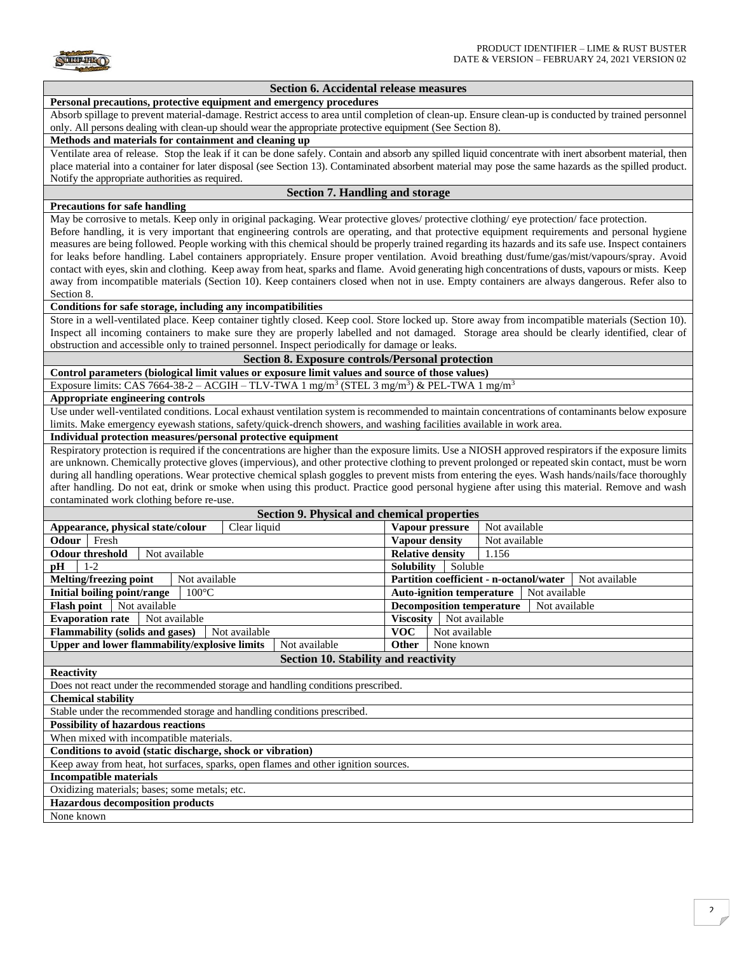

#### **Section 6. Accidental release measures**

#### **Personal precautions, protective equipment and emergency procedures**

Absorb spillage to prevent material-damage. Restrict access to area until completion of clean-up. Ensure clean-up is conducted by trained personnel only. All persons dealing with clean-up should wear the appropriate protective equipment (See Section 8).

### **Methods and materials for containment and cleaning up**

Ventilate area of release. Stop the leak if it can be done safely. Contain and absorb any spilled liquid concentrate with inert absorbent material, then place material into a container for later disposal (see Section 13). Contaminated absorbent material may pose the same hazards as the spilled product. Notify the appropriate authorities as required.

#### **Section 7. Handling and storage**

## **Precautions for safe handling**

May be corrosive to metals. Keep only in original packaging. Wear protective gloves/ protective clothing/ eye protection/ face protection. Before handling, it is very important that engineering controls are operating, and that protective equipment requirements and personal hygiene measures are being followed. People working with this chemical should be properly trained regarding its hazards and its safe use. Inspect containers for leaks before handling. Label containers appropriately. Ensure proper ventilation. Avoid breathing dust/fume/gas/mist/vapours/spray. Avoid contact with eyes, skin and clothing. Keep away from heat, sparks and flame. Avoid generating high concentrations of dusts, vapours or mists. Keep away from incompatible materials (Section 10). Keep containers closed when not in use. Empty containers are always dangerous. Refer also to Section 8.

### **Conditions for safe storage, including any incompatibilities**

Store in a well-ventilated place. Keep container tightly closed. Keep cool. Store locked up. Store away from incompatible materials (Section 10). Inspect all incoming containers to make sure they are properly labelled and not damaged. Storage area should be clearly identified, clear of obstruction and accessible only to trained personnel. Inspect periodically for damage or leaks.

# **Section 8. Exposure controls/Personal protection**

**Control parameters (biological limit values or exposure limit values and source of those values)**  Exposure limits: CAS 7664-38-2 – ACGIH – TLV-TWA 1 mg/m<sup>3</sup> (STEL 3 mg/m<sup>3</sup>) & PEL-TWA 1 mg/m<sup>3</sup>

#### **Appropriate engineering controls**

Use under well-ventilated conditions. Local exhaust ventilation system is recommended to maintain concentrations of contaminants below exposure limits. Make emergency eyewash stations, safety/quick-drench showers, and washing facilities available in work area.

# **Individual protection measures/personal protective equipment**

Respiratory protection is required if the concentrations are higher than the exposure limits. Use a NIOSH approved respirators if the exposure limits are unknown. Chemically protective gloves (impervious), and other protective clothing to prevent prolonged or repeated skin contact, must be worn during all handling operations. Wear protective chemical splash goggles to prevent mists from entering the eyes. Wash hands/nails/face thoroughly after handling. Do not eat, drink or smoke when using this product. Practice good personal hygiene after using this material. Remove and wash contaminated work clothing before re-use.

| <b>Section 9. Physical and chemical properties</b>                                 |                                                                 |  |  |  |
|------------------------------------------------------------------------------------|-----------------------------------------------------------------|--|--|--|
| Appearance, physical state/colour<br>Clear liquid                                  | Vapour pressure<br>Not available                                |  |  |  |
| Odour<br>Fresh                                                                     | Vapour density<br>Not available                                 |  |  |  |
| <b>Odour threshold</b><br>Not available                                            | <b>Relative density</b><br>1.156                                |  |  |  |
| $1 - 2$<br>рH                                                                      | <b>Solubility</b><br>Soluble                                    |  |  |  |
| <b>Melting/freezing point</b><br>Not available                                     | <b>Partition coefficient - n-octanol/water</b><br>Not available |  |  |  |
| Initial boiling point/range<br>$100^{\circ}$ C                                     | <b>Auto-ignition temperature</b><br>Not available               |  |  |  |
| <b>Flash point</b><br>Not available                                                | <b>Decomposition temperature</b><br>Not available               |  |  |  |
| <b>Viscosity</b><br>Not available<br><b>Evaporation rate</b><br>Not available      |                                                                 |  |  |  |
| <b>Flammability (solids and gases)</b><br>Not available                            | <b>VOC</b><br>Not available                                     |  |  |  |
| Upper and lower flammability/explosive limits<br>Not available                     | <b>Other</b><br>None known                                      |  |  |  |
| Section 10. Stability and reactivity                                               |                                                                 |  |  |  |
| <b>Reactivity</b>                                                                  |                                                                 |  |  |  |
| Does not react under the recommended storage and handling conditions prescribed.   |                                                                 |  |  |  |
| <b>Chemical stability</b>                                                          |                                                                 |  |  |  |
| Stable under the recommended storage and handling conditions prescribed.           |                                                                 |  |  |  |
| <b>Possibility of hazardous reactions</b>                                          |                                                                 |  |  |  |
| When mixed with incompatible materials.                                            |                                                                 |  |  |  |
| Conditions to avoid (static discharge, shock or vibration)                         |                                                                 |  |  |  |
| Keep away from heat, hot surfaces, sparks, open flames and other ignition sources. |                                                                 |  |  |  |
| <b>Incompatible materials</b>                                                      |                                                                 |  |  |  |
| Oxidizing materials; bases; some metals; etc.                                      |                                                                 |  |  |  |
| <b>Hazardous decomposition products</b>                                            |                                                                 |  |  |  |
| None known                                                                         |                                                                 |  |  |  |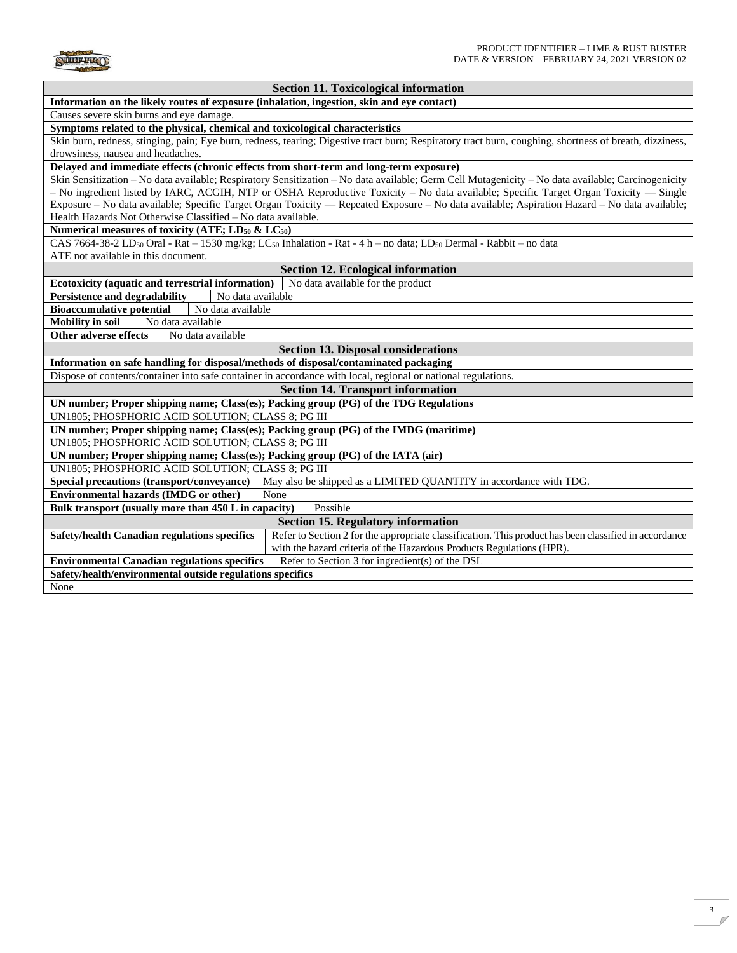

| <b>Section 11. Toxicological information</b>                                                                                                            |  |  |  |  |
|---------------------------------------------------------------------------------------------------------------------------------------------------------|--|--|--|--|
| Information on the likely routes of exposure (inhalation, ingestion, skin and eye contact)                                                              |  |  |  |  |
| Causes severe skin burns and eye damage.                                                                                                                |  |  |  |  |
| Symptoms related to the physical, chemical and toxicological characteristics                                                                            |  |  |  |  |
| Skin burn, redness, stinging, pain; Eye burn, redness, tearing; Digestive tract burn; Respiratory tract burn, coughing, shortness of breath, dizziness, |  |  |  |  |
| drowsiness, nausea and headaches.                                                                                                                       |  |  |  |  |
| Delayed and immediate effects (chronic effects from short-term and long-term exposure)                                                                  |  |  |  |  |
| Skin Sensitization - No data available; Respiratory Sensitization - No data available; Germ Cell Mutagenicity - No data available; Carcinogenicity      |  |  |  |  |
| - No ingredient listed by IARC, ACGIH, NTP or OSHA Reproductive Toxicity - No data available; Specific Target Organ Toxicity - Single                   |  |  |  |  |
| Exposure - No data available; Specific Target Organ Toxicity - Repeated Exposure - No data available; Aspiration Hazard - No data available;            |  |  |  |  |
| Health Hazards Not Otherwise Classified – No data available.                                                                                            |  |  |  |  |
| Numerical measures of toxicity (ATE; LD <sub>50</sub> & LC <sub>50</sub> )                                                                              |  |  |  |  |
| CAS 7664-38-2 LD <sub>50</sub> Oral - Rat - 1530 mg/kg; LC <sub>50</sub> Inhalation - Rat - 4 h - no data; LD <sub>50</sub> Dermal - Rabbit - no data   |  |  |  |  |
| ATE not available in this document.                                                                                                                     |  |  |  |  |
| <b>Section 12. Ecological information</b>                                                                                                               |  |  |  |  |
| No data available for the product<br>Ecotoxicity (aquatic and terrestrial information)                                                                  |  |  |  |  |
| <b>Persistence and degradability</b><br>No data available                                                                                               |  |  |  |  |
| <b>Bioaccumulative potential</b><br>No data available                                                                                                   |  |  |  |  |
| <b>Mobility in soil</b><br>No data available                                                                                                            |  |  |  |  |
| <b>Other adverse effects</b><br>No data available                                                                                                       |  |  |  |  |
| <b>Section 13. Disposal considerations</b>                                                                                                              |  |  |  |  |
| Information on safe handling for disposal/methods of disposal/contaminated packaging                                                                    |  |  |  |  |
| Dispose of contents/container into safe container in accordance with local, regional or national regulations.                                           |  |  |  |  |
| <b>Section 14. Transport information</b>                                                                                                                |  |  |  |  |
| UN number; Proper shipping name; Class(es); Packing group (PG) of the TDG Regulations                                                                   |  |  |  |  |
| UN1805; PHOSPHORIC ACID SOLUTION; CLASS 8; PG III                                                                                                       |  |  |  |  |
| UN number; Proper shipping name; Class(es); Packing group (PG) of the IMDG (maritime)                                                                   |  |  |  |  |
| UN1805; PHOSPHORIC ACID SOLUTION; CLASS 8; PG III                                                                                                       |  |  |  |  |
| UN number; Proper shipping name; Class(es); Packing group (PG) of the IATA (air)                                                                        |  |  |  |  |
| UN1805; PHOSPHORIC ACID SOLUTION; CLASS 8; PG III                                                                                                       |  |  |  |  |
| Special precautions (transport/conveyance)<br>May also be shipped as a LIMITED QUANTITY in accordance with TDG.                                         |  |  |  |  |
| <b>Environmental hazards (IMDG or other)</b><br>None                                                                                                    |  |  |  |  |
| Bulk transport (usually more than 450 L in capacity)<br>Possible                                                                                        |  |  |  |  |
| <b>Section 15. Regulatory information</b>                                                                                                               |  |  |  |  |
| Refer to Section 2 for the appropriate classification. This product has been classified in accordance<br>Safety/health Canadian regulations specifics   |  |  |  |  |
| with the hazard criteria of the Hazardous Products Regulations (HPR).                                                                                   |  |  |  |  |
| <b>Environmental Canadian regulations specifics</b><br>Refer to Section 3 for ingredient(s) of the DSL                                                  |  |  |  |  |
| Safety/health/environmental outside regulations specifics                                                                                               |  |  |  |  |
| None                                                                                                                                                    |  |  |  |  |